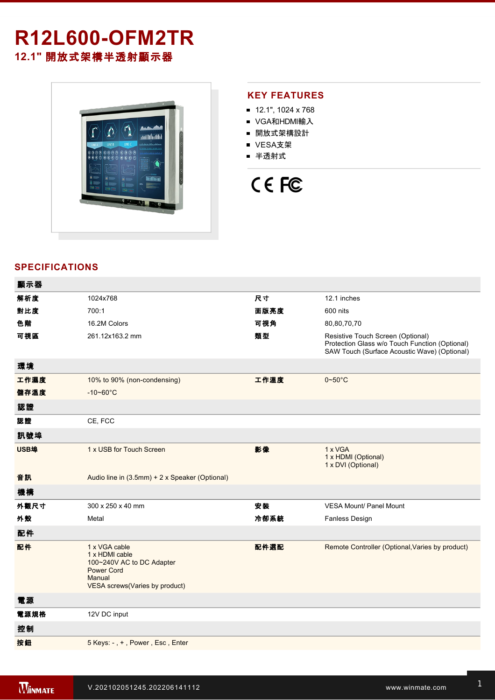# **R12L600-OFM2TR 12.1"** 開放式架構半透射顯示器



#### **KEY FEATURES**

- $12.1$ ", 1024 x 768
- VGA和HDMI輸入
- 開放式架構設計
- VESA支架
- 半透射式

# CE FC

## **SPECIFICATIONS**

| 顯示器  |                                                                                                                               |      |                                                                                                                                     |
|------|-------------------------------------------------------------------------------------------------------------------------------|------|-------------------------------------------------------------------------------------------------------------------------------------|
| 解析度  | 1024x768                                                                                                                      | 尺寸   | 12.1 inches                                                                                                                         |
| 對比度  | 700:1                                                                                                                         | 面版亮度 | 600 nits                                                                                                                            |
| 色階   | 16.2M Colors                                                                                                                  | 可視角  | 80,80,70,70                                                                                                                         |
| 可視區  | 261.12x163.2 mm                                                                                                               | 類型   | Resistive Touch Screen (Optional)<br>Protection Glass w/o Touch Function (Optional)<br>SAW Touch (Surface Acoustic Wave) (Optional) |
| 環境   |                                                                                                                               |      |                                                                                                                                     |
| 工作濕度 | 10% to 90% (non-condensing)                                                                                                   | 工作溫度 | $0 - 50$ °C                                                                                                                         |
| 儲存溫度 | $-10 - 60^{\circ}$ C                                                                                                          |      |                                                                                                                                     |
| 認證   |                                                                                                                               |      |                                                                                                                                     |
| 認證   | CE, FCC                                                                                                                       |      |                                                                                                                                     |
| 訊號埠  |                                                                                                                               |      |                                                                                                                                     |
| USB埠 | 1 x USB for Touch Screen                                                                                                      | 影像   | 1 x VGA<br>1 x HDMI (Optional)<br>1 x DVI (Optional)                                                                                |
| 音訊   | Audio line in (3.5mm) + 2 x Speaker (Optional)                                                                                |      |                                                                                                                                     |
| 機構   |                                                                                                                               |      |                                                                                                                                     |
| 外觀尺寸 | 300 x 250 x 40 mm                                                                                                             | 安装   | <b>VESA Mount/ Panel Mount</b>                                                                                                      |
| 外殼   | Metal                                                                                                                         | 冷卻系統 | <b>Fanless Design</b>                                                                                                               |
| 配件   |                                                                                                                               |      |                                                                                                                                     |
| 配件   | 1 x VGA cable<br>1 x HDMI cable<br>100~240V AC to DC Adapter<br><b>Power Cord</b><br>Manual<br>VESA screws(Varies by product) | 配件選配 | Remote Controller (Optional, Varies by product)                                                                                     |
| 電源   |                                                                                                                               |      |                                                                                                                                     |
| 電源規格 | 12V DC input                                                                                                                  |      |                                                                                                                                     |
| 控制   |                                                                                                                               |      |                                                                                                                                     |
| 按鈕   | 5 Keys: -, +, Power, Esc, Enter                                                                                               |      |                                                                                                                                     |
|      |                                                                                                                               |      |                                                                                                                                     |

**DIMENSIONS**  UNIT:MM